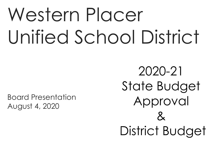# Western Placer Unified School District

Board Presentation August 4, 2020

2020-21 State Budget Approval  $\mathcal{X}$ District Budget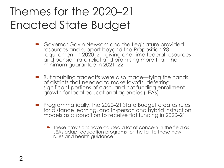### Themes for the 2020–21 Enacted State Budget

- Governor Gavin Newsom and the Legislature provided resources and support beyond the Proposition 98 requirement in 2020–21, giving one-time federal resources and pension rate relief and promising more than the minimum guarantee in 2021–22
- But troubling tradeoffs were also made—tying the hands of districts that needed to make layoffs, deferring significant portions of cash, and not funding enrollment growth for local educational agencies (LEAs)
- Programmatically, the 2020–21 State Budget creates rules for distance learning, and in-person and hybrid instruction models as a condition to receive flat funding in 2020–21
	- These provisions have caused a lot of concern in the field as LEAs adapt education programs for the fall to these new rules and health guidance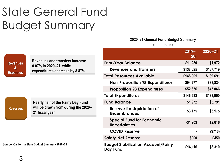## State General Fund Budget Summary

#### **2020–21 General Fund Budget Summary (in millions)**

|                                                 |                                                                                              |                                                          | $2019 -$<br>20 | $2020 - 21$ |
|-------------------------------------------------|----------------------------------------------------------------------------------------------|----------------------------------------------------------|----------------|-------------|
| <b>Revenues</b><br>&<br><b>Expenses</b>         | Revenues and transfers increase<br>0.07% in 2020–21, while<br>expenditures decrease by 8.87% | <b>Prior-Year Balance</b>                                | \$11,280       | \$1,972     |
|                                                 |                                                                                              | <b>Revenues and Transfers</b>                            | \$137,625      | \$137,719   |
|                                                 |                                                                                              | <b>Total Resources Available</b>                         | \$148,905      | \$139,691   |
|                                                 |                                                                                              | <b>Non-Proposition 98 Expenditures</b>                   | \$94,277       | \$88,834    |
|                                                 |                                                                                              | <b>Proposition 98 Expenditures</b>                       | \$52,656       | \$45,066    |
|                                                 |                                                                                              | <b>Total Expenditures</b>                                | \$146,933      | \$133,900   |
|                                                 | <b>Nearly half of the Rainy Day Fund</b>                                                     | <b>Fund Balance</b>                                      | \$1,972        | \$5,791     |
| <b>Reserves</b>                                 | will be drawn from during the 2020-<br>21 fiscal year                                        | <b>Reserve for Liquidation of</b><br><b>Encumbrances</b> | \$3,175        | \$3,175     |
|                                                 |                                                                                              | <b>Special Fund for Economic</b><br><b>Uncertainties</b> | $-$1,203$      | \$2,616     |
| Source: California State Budget Summary 2020-21 |                                                                                              | <b>COVID Reserve</b>                                     |                | (\$716)     |
|                                                 |                                                                                              | <b>Safety Net Reserve</b>                                | \$900          | \$450       |
|                                                 |                                                                                              | <b>Budget Stabilization Account/Rainy</b><br>Day Fund    | \$16,116       | \$8,310     |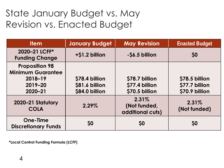#### State January Budget vs. May Revision vs. Enacted Budget

| <b>Item</b>                                                                            | <b>January Budget</b>                              | <b>May Revision</b>                                | <b>Enacted Budget</b>                              |
|----------------------------------------------------------------------------------------|----------------------------------------------------|----------------------------------------------------|----------------------------------------------------|
| 2020-21 LCFF*<br><b>Funding Change</b>                                                 | +\$1.2 billion                                     | -\$6.5 billion                                     | 50                                                 |
| <b>Proposition 98</b><br><b>Minimum Guarantee</b><br>2018-19<br>$2019 - 20$<br>2020-21 | \$78.4 billion<br>\$81.6 billion<br>\$84.0 billion | \$78.7 billion<br>\$77.4 billion<br>\$70.5 billion | \$78.5 billion<br>\$77.7 billion<br>\$70.9 billion |
| 2020-21 Statutory<br><b>COLA</b>                                                       | 2.29%                                              | 2.31%<br>(Not funded,<br>additional cuts)          | 2.31%<br>(Not funded)                              |
| <b>One-Time</b><br><b>Discretionary Funds</b>                                          | <b>SO</b>                                          | <b>SO</b>                                          | \$0                                                |

**\*Local Control Funding Formula (LCFF)**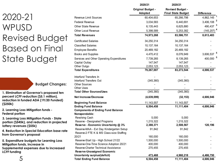#### 2020-21 WPUSD Revised Budget Based on Final State Budget

**Budget Changes:**

**1. Elimination of Governor's proposed ten percent LCFF reduction (\$5.1 million), reduction in funded ADA (19/20 Funded) (\$250k)**

**2. Learning Loss Mitigation funds - Federal portion**

**3. Learning Loss Mitigation Funds - State portion (\$545k), and reduction in projected lottery revenues (\$55k)**

**4. Reduction in Special Education base rate from Governor's proposal**

**5. Expenditure budgets for Learning Loss Mitigation funds, increase in Supplemental expenses due to increased LCFF funding**

|                                                                                      | 2020/21                             | 2020/21                                              |                   |
|--------------------------------------------------------------------------------------|-------------------------------------|------------------------------------------------------|-------------------|
|                                                                                      | <b>Original Budget -</b><br>Adopted | <b>Revised Budget -</b><br><b>Final State Budget</b> | <b>Difference</b> |
| Revenue Limit Sources                                                                | 60,404,653                          | 65,266,798                                           | 4,862,145         |
| Federal Revenue                                                                      | 3,034,583                           | 6,440,691                                            | 3,406,108         |
| Other State Revenue                                                                  | 6,135,443                           | 6,625,880                                            | 490,437           |
| Other Local Revenue                                                                  | 5,398,589                           | 5,253,382                                            | (145, 207)        |
| <b>Total Revenues</b>                                                                | 74,973,268                          | 83,586,751                                           | 8,613,483         |
| Certificated Salaries                                                                | 34,250,314                          | 34,250,314                                           |                   |
| <b>Classified Salaries</b>                                                           | 10, 137, 164                        | 10, 137, 164                                         |                   |
| <b>Employee Benefits</b>                                                             | 20,469,182                          | 20,469,182                                           |                   |
| <b>Books and Supplies</b>                                                            | 4,470,412                           | 8,076,949                                            | 3,606,537         |
| Services and Other Operating Expenditures                                            | 7,739,265                           | 8,139,265                                            | 400,000           |
| Capital Outlay                                                                       | 147,547                             | 147,547                                              |                   |
| Other Outgo                                                                          | 2,053,123                           | 2,053,123                                            |                   |
| <b>Total Expenditures</b>                                                            | 79,267,007                          | 83,273,544                                           | 4,006,537         |
| Interfund Transfers In                                                               |                                     |                                                      |                   |
| Interfund Transfers Out                                                              | (345, 360)                          | (345, 360)                                           |                   |
| Other Sources                                                                        |                                     |                                                      |                   |
| Other Uses                                                                           |                                     |                                                      |                   |
| <b>Total Other Sources/Uses</b>                                                      | (345, 360)                          | (345, 360)                                           |                   |
| Net Increase/Decrease                                                                | (4,639,099)                         | (32, 153)                                            | 4,606,946         |
| <b>Beginning Fund Balance</b>                                                        | 11, 143, 557                        | 11, 143, 557                                         |                   |
| <b>Ending Fund Balance</b>                                                           | 6,504,458                           | 11,111,404                                           | 4,606,946         |
| <b>Components of Ending Fund Balance</b><br>Nonspendable:                            |                                     |                                                      |                   |
| Revolving Cash                                                                       | 5,000                               | 5,000                                                |                   |
| Reserve - Designated Programs                                                        | 1,215,322                           | 1,215,322                                            |                   |
| Reserve - Economic Uncertainty @ 3%                                                  | 2,388,371                           | 2,508,567                                            | 120,196           |
| Reserve-MAA - Ext Day Kindergarten Setup<br>Reserve-2 FTE K & MS Class-size Staffing | 91,842                              | 91,842                                               |                   |
| 20/21                                                                                | 160,000                             | 160,000                                              |                   |
| Reserve-Start Up - High School 21/22                                                 | 1,500,000                           | 1,500,000                                            |                   |
| Reserve-One-Time Science Adoption 20/21                                              | 400,000                             | 400,000                                              |                   |
| Reserve-Charter Technical Assistance                                                 | 270,455                             | 270,455                                              |                   |
| Reserve-Unassigned Economic                                                          |                                     |                                                      |                   |
| Uncertainty surplus/(deficit)                                                        | 473,468                             | 4,960,218                                            | 4,486,750         |
| <b>Total Ending Fund Balance</b>                                                     | 6,504,458                           | 11,111,404                                           | 4,606,946         |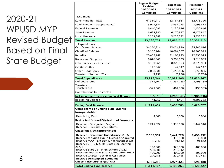#### 2020-21 WPUSD MYP Revised Budget Based on Final State Budget

|                                                                                       | <b>August Budget</b><br><b>Revision</b> | Projection         | Projection         |
|---------------------------------------------------------------------------------------|-----------------------------------------|--------------------|--------------------|
|                                                                                       | 2020-2021                               | 2021-2022          | 2022-23            |
|                                                                                       | Combined                                | Combined           | Combined           |
| Revenues                                                                              |                                         |                    |                    |
| LCFF Funding - Base                                                                   | 61,319,417                              | 62,167,561         | 62,775,220         |
| LCFF Funding - Supplemental                                                           | 3,947,381                               | 3,957,075          | 3,995,418          |
| <b>Federal Revenue</b>                                                                | 6,440,691                               | 2,130,846          | 2,130,846          |
| <b>State Revenue</b>                                                                  | 6,625,880                               | 6,176,847          | 6,176,847          |
| Local Revenue                                                                         | 5,253,382                               | 5,253,382          | 5,253,382          |
| <b>Total Revenue</b>                                                                  | 83,586,751                              | 79,685,711         | 80,331,713         |
| <b>Expenditures</b>                                                                   |                                         |                    |                    |
| <b>Certificated Salaries</b>                                                          | 34,250,314                              | 35,054,959         | 35,846,616         |
| <b>Classified Salaries</b>                                                            | 10,137,164                              | 10,694,507         | 10,805,029         |
| <b>Benefits</b>                                                                       | 20,469,182                              | 21,108,293         | 22,295,015         |
| <b>Books and Supplies</b>                                                             | 8,076,949                               | 3,998,639          | 3,813,639          |
| Other Services & Oper. Exp                                                            | 8,139,265                               | 8,070,953          | 8,070,953          |
| Capital Outlay                                                                        | 147,547                                 | 147,547            | 147,547            |
| Other Outgo 7xxx                                                                      | 2,058,881                               | 1,853,806          | 1,853,806          |
| Transfer of Indirect 73xx                                                             | (5,758)                                 | (5,758)            | (5,758)            |
| <b>Total Expenditures</b>                                                             | 83,273,544                              | 80,922,946         | 82,826,847         |
| Deficit/Surplus                                                                       | 313,207                                 | (1,237,235)        | (2,495,134)        |
| Transfers In<br>Transfers out                                                         | (345,360)                               | (467,906)          | (490, 903)         |
| Contributions to Restricted                                                           |                                         |                    |                    |
| Net increase (decrease) in Fund Balance                                               | (32, 153)                               | (1,705,141)        | (2,986,036)        |
| <b>Beginning Balance</b>                                                              | 11,143,557                              | 11,111,404         | 9,406,263          |
| <b>Ending Fund Balance</b>                                                            | 11,111,404                              | 9,406,263          | 6,420,227          |
| <b>Components of Ending Fund Balance</b>                                              |                                         |                    |                    |
| Nonspendable:                                                                         |                                         |                    |                    |
| Revolving Cash                                                                        | 5,000                                   | 5,000              | 5,000              |
| Restricted-Federal/State/Local Programs                                               |                                         |                    |                    |
| Reserve - Designated Programs<br>Reserve - Prepaid Expenditures                       | 1,215,322                               | 1,339,576          | 1,444,910          |
| Unassigned/Unappropriated:                                                            |                                         |                    |                    |
| Reserve - Economic Uncertainty @ 3%                                                   | 2,508,567                               | 2,441,726          | 2,499,532          |
| Reserve for Supp Exp in Excess of Adopted<br>Reserve-MAA - Ext Day Kindergarten setup |                                         | 315,000            | 630,000            |
| Reserve-2 FTE K & MS Class-size Staffing                                              | 91,842                                  | 91,842             | 91,842             |
| 20/21                                                                                 | 160,000                                 | 320,000            | 480,000            |
| Reserve-Start Up - High School 21/22                                                  | 1,500,000                               | 248,342            |                    |
| Reserve-One-Time Science Adoption 20/21<br>Reserve-Charter Technical Assistance       | 400,000<br>270,455                      | 400,000<br>270,455 | 400,000<br>270,455 |
| Reserve-Unassigned Economic                                                           |                                         |                    |                    |
| Uncertainty surplus/(deficit)                                                         | 4,960,218                               | 3,974,323          | 598,488            |
| <b>Total Ending Fund Balance</b>                                                      | 11,111,404                              | 9,406,263          | 6,420,227          |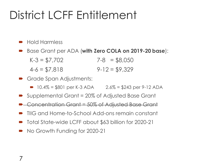### District LCFF Entitlement

- Hold Harmless
- Base Grant per ADA (**with Zero COLA on 2019-20 base**):
	- $K-3 = $7,702$  7-8 = \$8,050  $4-6 = $7,818$   $9-12 = $9,329$
- Grade Span Adjustments:
	- $\rightarrow$  10.4% = \$801 per K-3 ADA 2.6% = \$243 per 9-12 ADA
- Supplemental Grant = 20% of Adjusted Base Grant
- **■** Concentration Grant = 50% of Adjusted Base Grant
- TIIG and Home-to-School Add-ons remain constant
- Total State-wide LCFF about \$63 billion for 2020-21
- No Growth Funding for 2020-21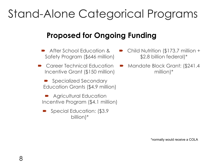### Stand-Alone Categorical Programs

#### **Proposed for Ongoing Funding**

- After School Education & Safety Program (\$646 million)
- Career Technical Education Incentive Grant (\$150 million)

■ Specialized Secondary Education Grants (\$4.9 million)

 Agricultural Education Incentive Program (\$4.1 million)

Special Education: (\$3.9) billion)\*

- Child Nutrition (\$173.7 million + \$2.8 billion federal)\*
- Mandate Block Grant: (\$241.4 million)\*

\*normally would receive a COLA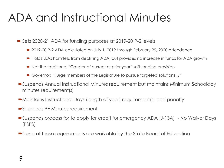### ADA and Instructional Minutes

■ Sets 2020-21 ADA for funding purposes at 2019-20 P-2 levels

- 2019-20 P-2 ADA calculated on July 1, 2019 through February 29, 2020 attendance
- Holds LEAs harmless from declining ADA, but provides no increase in funds for ADA growth
- Not the traditional "Greater of current or prior year" soft-landing provision
- Governor: "I urge members of the Legislature to pursue targeted solutions…"
- Suspends Annual Instructional Minutes requirement but maintains Minimum Schoolday minutes requirement(s)
- Maintains Instructional Days (length of year) requirement(s) and penalty
- Suspends PE Minutes requirement
- Suspends process for to apply for credit for emergency ADA (J-13A) No Waiver Days (PSPS)
- None of these requirements are waivable by the State Board of Education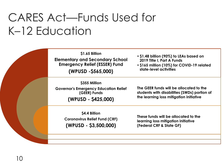### CARES Act—Funds Used for K–12 Education

| \$1.65 Billion<br><b>Elementary and Secondary School</b><br><b>Emergency Relief (ESSER) Fund</b><br>(WPUSD -\$565,000) | • \$1.48 billion (90%) to LEAs based on<br>2019 Title I, Part A Funds<br>. \$165 million (10%) for COVID-19 related<br>state-level activities |
|------------------------------------------------------------------------------------------------------------------------|-----------------------------------------------------------------------------------------------------------------------------------------------|
| \$355 Million<br><b>Governor's Emergency Education Relief</b><br>(GEER) Funds<br>(WPUSD - \$425,000)                   | The GEER funds will be allocated to the<br>students with disabilities (SWDs) portion of<br>the learning loss mitigation initiative            |
| \$4.4 Billion<br><b>Coronavirus Relief Fund (CRF)</b><br>$(WPUSD - $3,500,000)$                                        | These funds will be allocated to the<br>learning loss mitigation initiative<br>(Federal CRF & State GF)                                       |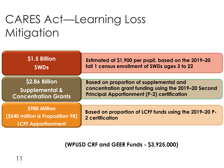## CARES Act—Learning Loss **Mitigation**

| \$1.5 Billion<br><b>SWDs</b>                                                    | Estimated at \$1,900 per pupil, based on the 2019–20<br>fall 1 census enrollment of SWDs ages 3 to 22                                                        |
|---------------------------------------------------------------------------------|--------------------------------------------------------------------------------------------------------------------------------------------------------------|
|                                                                                 |                                                                                                                                                              |
| \$2.86 Billion<br><b>Supplemental &amp;</b><br><b>Concentration Grants</b>      | <b>Based on proportion of supplemental and</b><br>concentration grant funding using the 2019-20 Second<br><b>Principal Apportionment (P-2) certification</b> |
|                                                                                 |                                                                                                                                                              |
| \$980 Million<br>(\$540 million is Proposition 98)<br><b>LCFF Apportionment</b> | Based on proportion of LCFF funds using the 2019-20 P-<br><b>2 certification</b>                                                                             |

**(WPUSD CRF and GEER Funds - \$3,925,000)**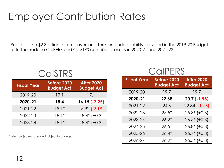#### Employer Contribution Rates

Redirects the \$2.3 billion for employer long-term unfunded liability provided in the 2019-20 Budget to further reduce CalPERS and CalSTRS contribution rates in 2020-21 and 2021-22

| <b>Fiscal Year</b> | <b>Before 2020</b><br><b>Budget Act</b> | <b>After 2020</b><br><b>Budget Act</b> |  |
|--------------------|-----------------------------------------|----------------------------------------|--|
| 2019-20            | 17.1                                    | 17.1                                   |  |
| 2020-21            | 18.4                                    | $16.15(-2.25)$                         |  |
| 2021-22            | $18.1*$                                 | $15.92$ $(-2.18)$                      |  |
| 2022-23            | $18.1*$                                 | $18.4*$ (+0.3)                         |  |
| 2023-24            | $18.1*$                                 | $18.4*$ (+0.3)                         |  |

CalSTRS

\*Latest projected rates and subject to change

#### **CalPERS**

| <b>Fiscal Year</b> | <b>Before 2020</b><br><b>Budget Act</b> | <b>After 2020</b><br><b>Budget Act</b> |
|--------------------|-----------------------------------------|----------------------------------------|
| 2019-20            | 19.7                                    | 19.7                                   |
| 2020-21            | 22.68                                   | $20.7(-1.98)$                          |
| 2021-22            | 24.6                                    | $22.84$ $(-1.76)$                      |
| 2022-23            | $25.5*$                                 | $25.8*$ (+0.3)                         |
| 2023-24            | $26.2*$                                 | $26.5*$ (+0.3)                         |
| 2024-25            | $26.5*$                                 | $26.8*$ (+0.3)                         |
| 2025-26            | $26.4*$                                 | $26.7*$ (+0.3)                         |
| 2026-27            | $26.2*$                                 | $26.5*$ (+0.3)                         |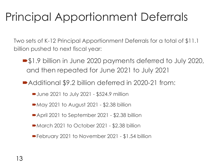## Principal Apportionment Deferrals

Two sets of K-12 Principal Apportionment Deferrals for a total of \$11.1 billion pushed to next fiscal year:

- \$1.9 billion in June 2020 payments deferred to July 2020, and then repeated for June 2021 to July 2021
- Additional \$9.2 billion deferred in 2020-21 from:
	- June 2021 to July 2021 \$524.9 million
	- May 2021 to August 2021 \$2.38 billion
	- April 2021 to September 2021 \$2.38 billion
	- March 2021 to October 2021 \$2.38 billion
	- February 2021 to November 2021 \$1.54 billion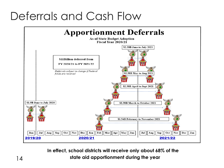### Deferrals and Cash Flow



**In effect, school districts will receive only about 68% of the state aid apportionment during the year** 14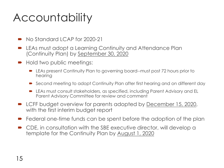### **Accountability**

- No Standard LCAP for 2020-21
- LEAs must adopt a Learning Continuity and Attendance Plan (Continuity Plan) by September 30, 2020
- Hold two public meetings:
	- **EXAL** EXAS present Continuity Plan to governing board--must post 72 hours prior to hearing
	- Second meeting to adopt Continuity Plan after first hearing and on different day
	- LEAs must consult stakeholders, as specified, including Parent Advisory and EL Parent Advisory Committee for review and comment
- LCFF budget overview for parents adopted by December 15, 2020, with the first interim budget report
- Federal one-time funds can be spent before the adoption of the plan
- CDE, in consultation with the SBE executive director, will develop a template for the Continuity Plan by August 1, 2020